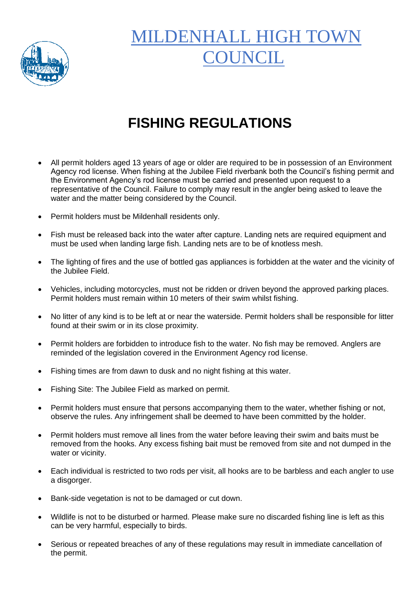

## **ILDENHALL HIGH TO COUNCIL**

## **FISHING REGULATIONS**

- All permit holders aged 13 years of age or older are required to be in possession of an Environment Agency rod license. When fishing at the Jubilee Field riverbank both the Council's fishing permit and the Environment Agency's rod license must be carried and presented upon request to a representative of the Council. Failure to comply may result in the angler being asked to leave the water and the matter being considered by the Council.
- Permit holders must be Mildenhall residents only.
- Fish must be released back into the water after capture. Landing nets are required equipment and must be used when landing large fish. Landing nets are to be of knotless mesh.
- The lighting of fires and the use of bottled gas appliances is forbidden at the water and the vicinity of the Jubilee Field.
- Vehicles, including motorcycles, must not be ridden or driven beyond the approved parking places. Permit holders must remain within 10 meters of their swim whilst fishing.
- No litter of any kind is to be left at or near the waterside. Permit holders shall be responsible for litter found at their swim or in its close proximity.
- Permit holders are forbidden to introduce fish to the water. No fish may be removed. Anglers are reminded of the legislation covered in the Environment Agency rod license.
- Fishing times are from dawn to dusk and no night fishing at this water.
- Fishing Site: The Jubilee Field as marked on permit.
- Permit holders must ensure that persons accompanying them to the water, whether fishing or not, observe the rules. Any infringement shall be deemed to have been committed by the holder.
- Permit holders must remove all lines from the water before leaving their swim and baits must be removed from the hooks. Any excess fishing bait must be removed from site and not dumped in the water or vicinity.
- Each individual is restricted to two rods per visit, all hooks are to be barbless and each angler to use a disgorger.
- Bank-side vegetation is not to be damaged or cut down.
- Wildlife is not to be disturbed or harmed. Please make sure no discarded fishing line is left as this can be very harmful, especially to birds.
- Serious or repeated breaches of any of these regulations may result in immediate cancellation of the permit.